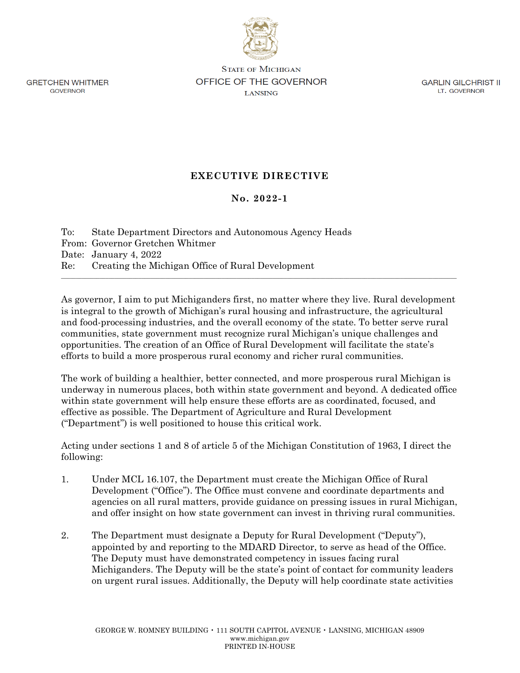**GRETCHEN WHITMER GOVERNOR** 

**STATE OF MICHIGAN** OFFICE OF THE GOVERNOR **LANSING** 

**GARLIN GILCHRIST II** LT. GOVERNOR

## **EXECUTIVE DIRECTIVE**

## **No. 2022-1**

To: State Department Directors and Autonomous Agency Heads From: Governor Gretchen Whitmer Date: January 4, 2022 Re: Creating the Michigan Office of Rural Development \_\_\_\_\_\_\_\_\_\_\_\_\_\_\_\_\_\_\_\_\_\_\_\_\_\_\_\_\_\_\_\_\_\_\_\_\_\_\_\_\_\_\_\_\_\_\_\_\_\_\_\_\_\_\_\_\_\_\_\_\_\_\_\_\_\_\_\_\_\_\_\_\_\_\_\_\_\_\_\_\_\_\_\_\_\_\_\_\_\_\_\_\_\_\_\_\_\_\_\_\_\_\_\_\_\_\_\_\_\_\_\_\_\_\_\_\_\_\_\_\_\_\_\_\_\_\_\_\_\_\_\_\_

As governor, I aim to put Michiganders first, no matter where they live. Rural development is integral to the growth of Michigan's rural housing and infrastructure, the agricultural and food-processing industries, and the overall economy of the state. To better serve rural communities, state government must recognize rural Michigan's unique challenges and opportunities. The creation of an Office of Rural Development will facilitate the state's efforts to build a more prosperous rural economy and richer rural communities.

The work of building a healthier, better connected, and more prosperous rural Michigan is underway in numerous places, both within state government and beyond. A dedicated office within state government will help ensure these efforts are as coordinated, focused, and effective as possible. The Department of Agriculture and Rural Development ("Department") is well positioned to house this critical work.

Acting under sections 1 and 8 of article 5 of the Michigan Constitution of 1963, I direct the following:

- 1. Under MCL 16.107, the Department must create the Michigan Office of Rural Development ("Office"). The Office must convene and coordinate departments and agencies on all rural matters, provide guidance on pressing issues in rural Michigan, and offer insight on how state government can invest in thriving rural communities.
- 2. The Department must designate a Deputy for Rural Development ("Deputy"), appointed by and reporting to the MDARD Director, to serve as head of the Office. The Deputy must have demonstrated competency in issues facing rural Michiganders. The Deputy will be the state's point of contact for community leaders on urgent rural issues. Additionally, the Deputy will help coordinate state activities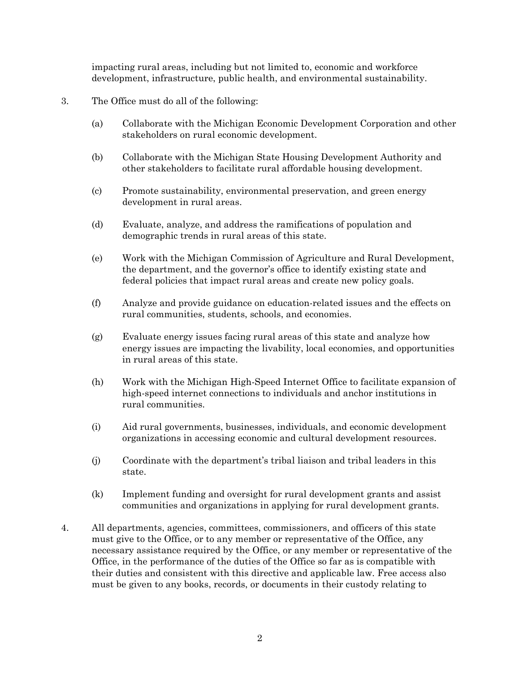impacting rural areas, including but not limited to, economic and workforce development, infrastructure, public health, and environmental sustainability.

- 3. The Office must do all of the following:
	- (a) Collaborate with the Michigan Economic Development Corporation and other stakeholders on rural economic development.
	- (b) Collaborate with the Michigan State Housing Development Authority and other stakeholders to facilitate rural affordable housing development.
	- (c) Promote sustainability, environmental preservation, and green energy development in rural areas.
	- (d) Evaluate, analyze, and address the ramifications of population and demographic trends in rural areas of this state.
	- (e) Work with the Michigan Commission of Agriculture and Rural Development, the department, and the governor's office to identify existing state and federal policies that impact rural areas and create new policy goals.
	- (f) Analyze and provide guidance on education-related issues and the effects on rural communities, students, schools, and economies.
	- (g) Evaluate energy issues facing rural areas of this state and analyze how energy issues are impacting the livability, local economies, and opportunities in rural areas of this state.
	- (h) Work with the Michigan High-Speed Internet Office to facilitate expansion of high-speed internet connections to individuals and anchor institutions in rural communities.
	- (i) Aid rural governments, businesses, individuals, and economic development organizations in accessing economic and cultural development resources.
	- (j) Coordinate with the department's tribal liaison and tribal leaders in this state.
	- (k) Implement funding and oversight for rural development grants and assist communities and organizations in applying for rural development grants.
- 4. All departments, agencies, committees, commissioners, and officers of this state must give to the Office, or to any member or representative of the Office, any necessary assistance required by the Office, or any member or representative of the Office, in the performance of the duties of the Office so far as is compatible with their duties and consistent with this directive and applicable law. Free access also must be given to any books, records, or documents in their custody relating to